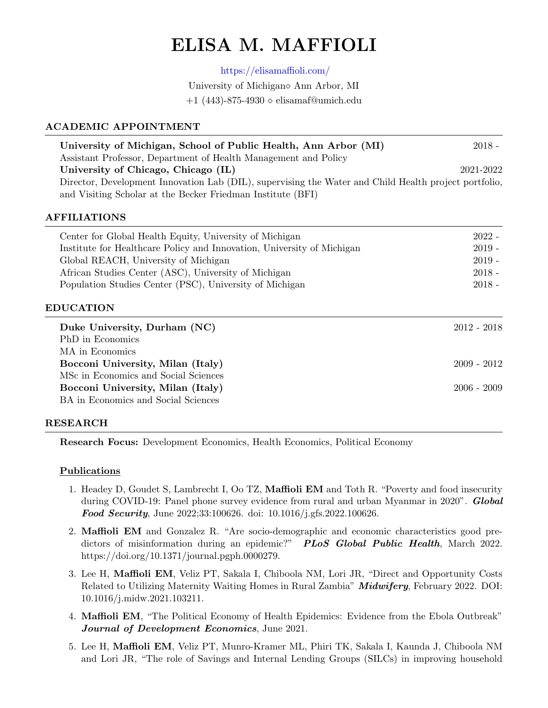# ELISA M. MAFFIOLI

<https://elisamaffioli.com/>

University of Michigan  $\alpha$  Ann Arbor, MI

 $+1$  (443)-875-4930  $\diamond$  elisamaf@umich.edu

## ACADEMIC APPOINTMENT

| University of Michigan, School of Public Health, Ann Arbor (MI)                                       | $2018 -$  |
|-------------------------------------------------------------------------------------------------------|-----------|
| Assistant Professor, Department of Health Management and Policy                                       |           |
| University of Chicago, Chicago (IL)                                                                   | 2021-2022 |
| Director, Development Innovation Lab (DIL), supervising the Water and Child Health project portfolio, |           |
| and Visiting Scholar at the Becker Friedman Institute (BFI)                                           |           |

### AFFILIATIONS

| Center for Global Health Equity, University of Michigan                | $2022 -$ |
|------------------------------------------------------------------------|----------|
| Institute for Healthcare Policy and Innovation, University of Michigan | $2019 -$ |
| Global REACH, University of Michigan                                   | $2019 -$ |
| African Studies Center (ASC), University of Michigan                   | $2018 -$ |
| Population Studies Center (PSC), University of Michigan                | $2018 -$ |

### EDUCATION

| Duke University, Durham (NC)<br>PhD in Economics | 2012 - 2018   |
|--------------------------------------------------|---------------|
| MA in Economics                                  |               |
| Bocconi University, Milan (Italy)                | $2009 - 2012$ |
| MSc in Economics and Social Sciences             |               |
| Bocconi University, Milan (Italy)                | $2006 - 2009$ |
| BA in Economics and Social Sciences              |               |

### RESEARCH

Research Focus: Development Economics, Health Economics, Political Economy

### Publications

- 1. Headey D, Goudet S, Lambrecht I, Oo TZ, Maffioli EM and Toth R. "Poverty and food insecurity during COVID-19: Panel phone survey evidence from rural and urban Myanmar in 2020". **Global** Food Security, June 2022;33:100626. doi: 10.1016/j.gfs.2022.100626.
- 2. Maffioli EM and Gonzalez R. "Are socio-demographic and economic characteristics good predictors of misinformation during an epidemic?" PLoS Global Public Health, March 2022. https://doi.org/10.1371/journal.pgph.0000279.
- 3. Lee H, Maffioli EM, Veliz PT, Sakala I, Chiboola NM, Lori JR, "Direct and Opportunity Costs Related to Utilizing Maternity Waiting Homes in Rural Zambia" **Midwifery**, February 2022. DOI: 10.1016/j.midw.2021.103211.
- 4. Maffioli EM, "The Political Economy of Health Epidemics: Evidence from the Ebola Outbreak" Journal of Development Economics, June 2021.
- 5. Lee H, Maffioli EM, Veliz PT, Munro-Kramer ML, Phiri TK, Sakala I, Kaunda J, Chiboola NM and Lori JR, "The role of Savings and Internal Lending Groups (SILCs) in improving household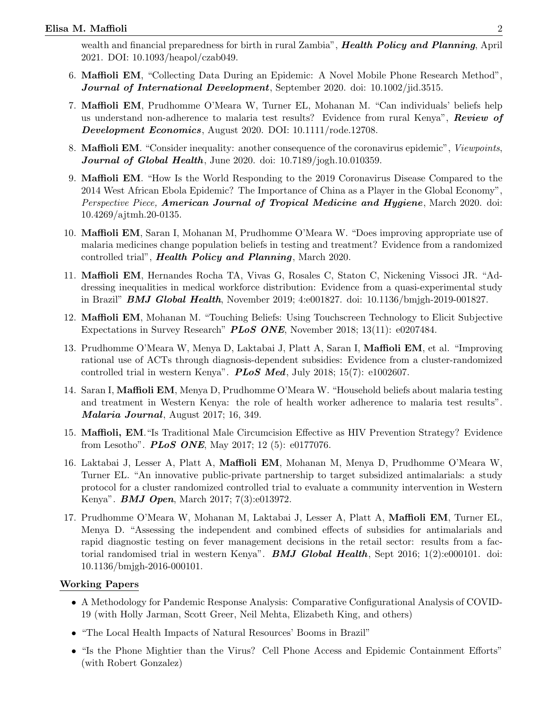wealth and financial preparedness for birth in rural Zambia", **Health Policy and Planning**, April 2021. DOI: 10.1093/heapol/czab049.

- 6. Maffioli EM, "Collecting Data During an Epidemic: A Novel Mobile Phone Research Method", Journal of International Development, September 2020. doi: 10.1002/jid.3515.
- 7. Maffioli EM, Prudhomme O'Meara W, Turner EL, Mohanan M. "Can individuals' beliefs help us understand non-adherence to malaria test results? Evidence from rural Kenya", Review of Development Economics, August 2020. DOI: 10.1111/rode.12708.
- 8. **Maffioli EM.** "Consider inequality: another consequence of the coronavirus epidemic", *Viewpoints*, **Journal of Global Health**, June 2020. doi:  $10.7189$ /jogh.10.010359.
- 9. Maffioli EM. "How Is the World Responding to the 2019 Coronavirus Disease Compared to the 2014 West African Ebola Epidemic? The Importance of China as a Player in the Global Economy", Perspective Piece, **American Journal of Tropical Medicine and Hygiene**, March 2020. doi: 10.4269/ajtmh.20-0135.
- 10. Maffioli EM, Saran I, Mohanan M, Prudhomme O'Meara W. "Does improving appropriate use of malaria medicines change population beliefs in testing and treatment? Evidence from a randomized controlled trial", Health Policy and Planning, March 2020.
- 11. Maffioli EM, Hernandes Rocha TA, Vivas G, Rosales C, Staton C, Nickening Vissoci JR. "Addressing inequalities in medical workforce distribution: Evidence from a quasi-experimental study in Brazil" **BMJ Global Health**, November 2019; 4:e001827. doi: 10.1136/bmjgh-2019-001827.
- 12. Maffioli EM, Mohanan M. "Touching Beliefs: Using Touchscreen Technology to Elicit Subjective Expectations in Survey Research" PLoS ONE, November 2018; 13(11): e0207484.
- 13. Prudhomme O'Meara W, Menya D, Laktabai J, Platt A, Saran I, Maffioli EM, et al. "Improving rational use of ACTs through diagnosis-dependent subsidies: Evidence from a cluster-randomized controlled trial in western Kenya". **PLoS Med**, July 2018; 15(7): e1002607.
- 14. Saran I, Maffioli EM, Menya D, Prudhomme O'Meara W. "Household beliefs about malaria testing and treatment in Western Kenya: the role of health worker adherence to malaria test results". Malaria Journal, August 2017; 16, 349.
- 15. Maffioli, EM."Is Traditional Male Circumcision Effective as HIV Prevention Strategy? Evidence from Lesotho". PLoS ONE, May 2017; 12 (5): e0177076.
- 16. Laktabai J, Lesser A, Platt A, Maffioli EM, Mohanan M, Menya D, Prudhomme O'Meara W, Turner EL. "An innovative public-private partnership to target subsidized antimalarials: a study protocol for a cluster randomized controlled trial to evaluate a community intervention in Western Kenya". **BMJ Open**, March 2017; 7(3):e013972.
- 17. Prudhomme O'Meara W, Mohanan M, Laktabai J, Lesser A, Platt A, Maffioli EM, Turner EL, Menya D. "Assessing the independent and combined effects of subsidies for antimalarials and rapid diagnostic testing on fever management decisions in the retail sector: results from a factorial randomised trial in western Kenya". **BMJ Global Health**, Sept 2016;  $1(2):e000101$ . doi: 10.1136/bmjgh-2016-000101.

### Working Papers

- A Methodology for Pandemic Response Analysis: Comparative Configurational Analysis of COVID-19 (with Holly Jarman, Scott Greer, Neil Mehta, Elizabeth King, and others)
- "The Local Health Impacts of Natural Resources' Booms in Brazil"
- "Is the Phone Mightier than the Virus? Cell Phone Access and Epidemic Containment Efforts" (with Robert Gonzalez)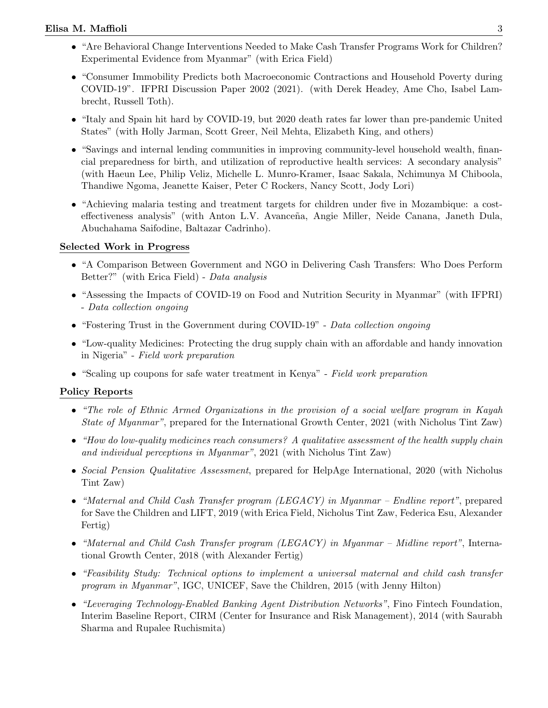- "Are Behavioral Change Interventions Needed to Make Cash Transfer Programs Work for Children? Experimental Evidence from Myanmar" (with Erica Field)
- "Consumer Immobility Predicts both Macroeconomic Contractions and Household Poverty during COVID-19". IFPRI Discussion Paper 2002 (2021). (with Derek Headey, Ame Cho, Isabel Lambrecht, Russell Toth).
- "Italy and Spain hit hard by COVID-19, but 2020 death rates far lower than pre-pandemic United States" (with Holly Jarman, Scott Greer, Neil Mehta, Elizabeth King, and others)
- "Savings and internal lending communities in improving community-level household wealth, financial preparedness for birth, and utilization of reproductive health services: A secondary analysis" (with Haeun Lee, Philip Veliz, Michelle L. Munro-Kramer, Isaac Sakala, Nchimunya M Chiboola, Thandiwe Ngoma, Jeanette Kaiser, Peter C Rockers, Nancy Scott, Jody Lori)
- "Achieving malaria testing and treatment targets for children under five in Mozambique: a costeffectiveness analysis" (with Anton L.V. Avanceña, Angie Miller, Neide Canana, Janeth Dula, Abuchahama Saifodine, Baltazar Cadrinho).

# Selected Work in Progress

- "A Comparison Between Government and NGO in Delivering Cash Transfers: Who Does Perform Better?" (with Erica Field) - Data analysis
- "Assessing the Impacts of COVID-19 on Food and Nutrition Security in Myanmar" (with IFPRI) - Data collection ongoing
- "Fostering Trust in the Government during COVID-19" Data collection ongoing
- "Low-quality Medicines: Protecting the drug supply chain with an affordable and handy innovation in Nigeria" - Field work preparation
- "Scaling up coupons for safe water treatment in Kenya" Field work preparation

# Policy Reports

- "The role of Ethnic Armed Organizations in the provision of a social welfare program in Kayah State of Myanmar", prepared for the International Growth Center, 2021 (with Nicholus Tint Zaw)
- "How do low-quality medicines reach consumers? A qualitative assessment of the health supply chain and individual perceptions in Myanmar", 2021 (with Nicholus Tint Zaw)
- Social Pension Qualitative Assessment, prepared for HelpAge International, 2020 (with Nicholus Tint Zaw)
- "Maternal and Child Cash Transfer program (LEGACY) in Myanmar Endline report", prepared for Save the Children and LIFT, 2019 (with Erica Field, Nicholus Tint Zaw, Federica Esu, Alexander Fertig)
- "Maternal and Child Cash Transfer program (LEGACY) in Myanmar Midline report", International Growth Center, 2018 (with Alexander Fertig)
- "Feasibility Study: Technical options to implement a universal maternal and child cash transfer program in Myanmar", IGC, UNICEF, Save the Children, 2015 (with Jenny Hilton)
- "Leveraging Technology-Enabled Banking Agent Distribution Networks", Fino Fintech Foundation, Interim Baseline Report, CIRM (Center for Insurance and Risk Management), 2014 (with Saurabh Sharma and Rupalee Ruchismita)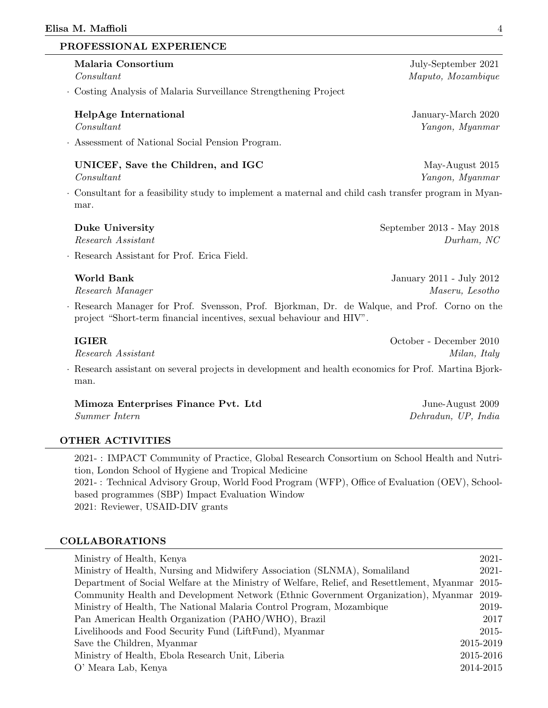#### PROFESSIONAL EXPERIENCE

| Malaria Consortium<br>Constant                                                                                                                                     | July-September 2021<br>Maputo, Mozambique   |
|--------------------------------------------------------------------------------------------------------------------------------------------------------------------|---------------------------------------------|
| · Costing Analysis of Malaria Surveillance Strengthening Project                                                                                                   |                                             |
| HelpAge International<br>Constant                                                                                                                                  | January-March 2020<br>Yangon, Myanmar       |
| · Assessment of National Social Pension Program.                                                                                                                   |                                             |
| UNICEF, Save the Children, and IGC<br>Constant                                                                                                                     | May-August 2015<br>Yangon, Myanmar          |
| . Consultant for a feasibility study to implement a maternal and child cash transfer program in Myan-<br>mar.                                                      |                                             |
| <b>Duke University</b><br>Research Assistant<br>· Research Assistant for Prof. Erica Field.                                                                        | September 2013 - May 2018<br>Durham, NC     |
| <b>World Bank</b><br>Research Manager                                                                                                                              | January 2011 - July 2012<br>Maseru, Lesotho |
| Research Manager for Prof. Svensson, Prof. Bjorkman, Dr. de Walque, and Prof. Corno on the<br>project "Short-term financial incentives, sexual behaviour and HIV". |                                             |
| <b>IGIER</b><br>Research Assistant                                                                                                                                 | October - December 2010<br>Milan, Italy     |
| · Research assistant on several projects in development and health economics for Prof. Martina Bjork-<br>man.                                                      |                                             |

Mimoza Enterprises Finance Pvt. Ltd June-August 2009 Summer Intern Dehradun, UP, India

# OTHER ACTIVITIES

2021- : IMPACT Community of Practice, Global Research Consortium on School Health and Nutrition, London School of Hygiene and Tropical Medicine 2021- : Technical Advisory Group, World Food Program (WFP), Office of Evaluation (OEV), Schoolbased programmes (SBP) Impact Evaluation Window 2021: Reviewer, USAID-DIV grants

#### COLLABORATIONS

| Ministry of Health, Kenya                                                                  | 2021-     |
|--------------------------------------------------------------------------------------------|-----------|
| Ministry of Health, Nursing and Midwifery Association (SLNMA), Somaliland                  | $2021 -$  |
| Department of Social Welfare at the Ministry of Welfare, Relief, and Resettlement, Myanmar | 2015-     |
| Community Health and Development Network (Ethnic Government Organization), Myanmar         | 2019-     |
| Ministry of Health, The National Malaria Control Program, Mozambique                       | 2019-     |
| Pan American Health Organization (PAHO/WHO), Brazil                                        | 2017      |
| Livelihoods and Food Security Fund (LiftFund), Myanmar                                     | 2015-     |
| Save the Children, Myanmar                                                                 | 2015-2019 |
| Ministry of Health, Ebola Research Unit, Liberia                                           | 2015-2016 |
| O' Meara Lab, Kenya                                                                        | 2014-2015 |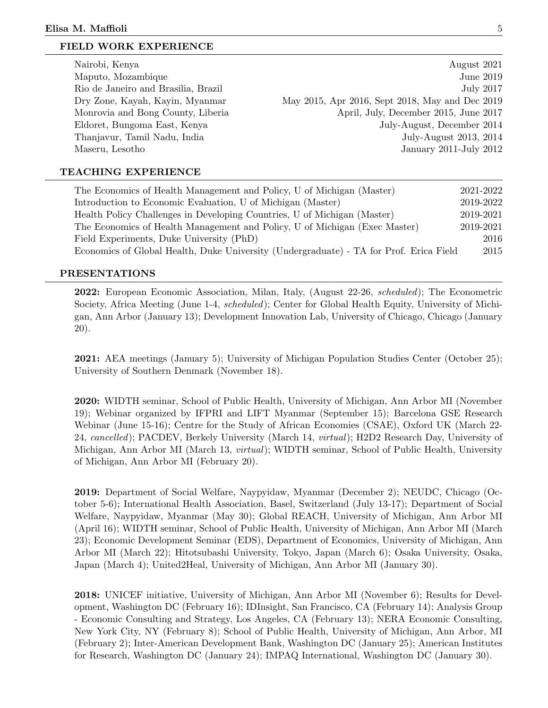#### FIELD WORK EXPERIENCE

| Nairobi, Kenya                      | August 2021                                     |
|-------------------------------------|-------------------------------------------------|
| Maputo, Mozambique                  | <b>June 2019</b>                                |
| Rio de Janeiro and Brasilia, Brazil | <b>July 2017</b>                                |
| Dry Zone, Kayah, Kayin, Myanmar     | May 2015, Apr 2016, Sept 2018, May and Dec 2019 |
| Monrovia and Bong County, Liberia   | April, July, December 2015, June 2017           |
| Eldoret, Bungoma East, Kenya        | July-August, December 2014                      |
| Thanjavur, Tamil Nadu, India        | July-August 2013, 2014                          |
| Maseru, Lesotho                     | January 2011-July 2012                          |
|                                     |                                                 |

#### TEACHING EXPERIENCE

| The Economics of Health Management and Policy, U of Michigan (Master)                  | 2021-2022 |
|----------------------------------------------------------------------------------------|-----------|
| Introduction to Economic Evaluation, U of Michigan (Master)                            | 2019-2022 |
| Health Policy Challenges in Developing Countries, U of Michigan (Master)               | 2019-2021 |
| The Economics of Health Management and Policy, U of Michigan (Exec Master)             | 2019-2021 |
| Field Experiments, Duke University (PhD)                                               | 2016      |
| Economics of Global Health, Duke University (Undergraduate) - TA for Prof. Erica Field | 2015      |

#### PRESENTATIONS

2022: European Economic Association, Milan, Italy, (August 22-26, scheduled); The Econometric Society, Africa Meeting (June 1-4, *scheduled*); Center for Global Health Equity, University of Michigan, Ann Arbor (January 13); Development Innovation Lab, University of Chicago, Chicago (January 20).

2021: AEA meetings (January 5); University of Michigan Population Studies Center (October 25); University of Southern Denmark (November 18).

2020: WIDTH seminar, School of Public Health, University of Michigan, Ann Arbor MI (November 19); Webinar organized by IFPRI and LIFT Myanmar (September 15); Barcelona GSE Research Webinar (June 15-16); Centre for the Study of African Economies (CSAE), Oxford UK (March 22- 24, cancelled); PACDEV, Berkely University (March 14, virtual); H2D2 Research Day, University of Michigan, Ann Arbor MI (March 13, virtual); WIDTH seminar, School of Public Health, University of Michigan, Ann Arbor MI (February 20).

2019: Department of Social Welfare, Naypyidaw, Myanmar (December 2); NEUDC, Chicago (October 5-6); International Health Association, Basel, Switzerland (July 13-17); Department of Social Welfare, Naypyidaw, Myanmar (May 30); Global REACH, University of Michigan, Ann Arbor MI (April 16); WIDTH seminar, School of Public Health, University of Michigan, Ann Arbor MI (March 23); Economic Development Seminar (EDS), Department of Economics, University of Michigan, Ann Arbor MI (March 22); Hitotsubashi University, Tokyo, Japan (March 6); Osaka University, Osaka, Japan (March 4); United2Heal, University of Michigan, Ann Arbor MI (January 30).

2018: UNICEF initiative, University of Michigan, Ann Arbor MI (November 6); Results for Development, Washington DC (February 16); IDInsight, San Francisco, CA (February 14); Analysis Group - Economic Consulting and Strategy, Los Angeles, CA (February 13); NERA Economic Consulting, New York City, NY (February 8); School of Public Health, University of Michigan, Ann Arbor, MI (February 2); Inter-American Development Bank, Washington DC (January 25); American Institutes for Research, Washington DC (January 24); IMPAQ International, Washington DC (January 30).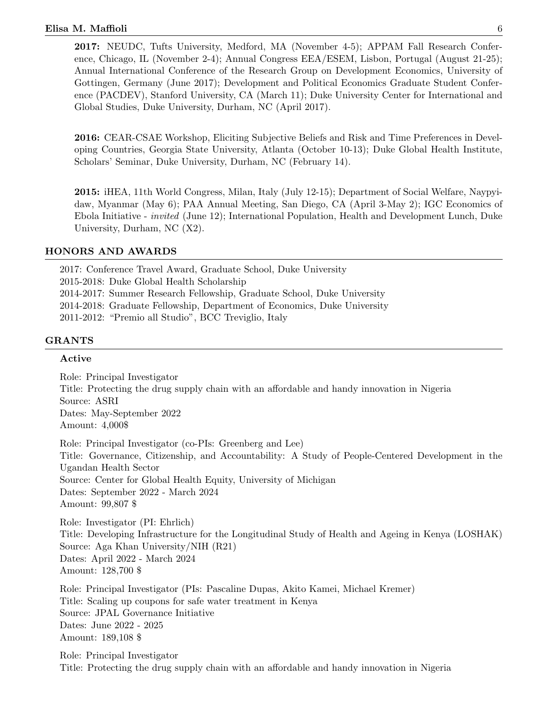2017: NEUDC, Tufts University, Medford, MA (November 4-5); APPAM Fall Research Conference, Chicago, IL (November 2-4); Annual Congress EEA/ESEM, Lisbon, Portugal (August 21-25); Annual International Conference of the Research Group on Development Economics, University of Gottingen, Germany (June 2017); Development and Political Economics Graduate Student Conference (PACDEV), Stanford University, CA (March 11); Duke University Center for International and Global Studies, Duke University, Durham, NC (April 2017).

2016: CEAR-CSAE Workshop, Eliciting Subjective Beliefs and Risk and Time Preferences in Developing Countries, Georgia State University, Atlanta (October 10-13); Duke Global Health Institute, Scholars' Seminar, Duke University, Durham, NC (February 14).

2015: iHEA, 11th World Congress, Milan, Italy (July 12-15); Department of Social Welfare, Naypyidaw, Myanmar (May 6); PAA Annual Meeting, San Diego, CA (April 3-May 2); IGC Economics of Ebola Initiative - invited (June 12); International Population, Health and Development Lunch, Duke University, Durham, NC (X2).

#### HONORS AND AWARDS

2017: Conference Travel Award, Graduate School, Duke University 2015-2018: Duke Global Health Scholarship 2014-2017: Summer Research Fellowship, Graduate School, Duke University 2014-2018: Graduate Fellowship, Department of Economics, Duke University 2011-2012: "Premio all Studio", BCC Treviglio, Italy

#### GRANTS

#### Active

Role: Principal Investigator Title: Protecting the drug supply chain with an affordable and handy innovation in Nigeria Source: ASRI Dates: May-September 2022 Amount: 4,000\$

Role: Principal Investigator (co-PIs: Greenberg and Lee) Title: Governance, Citizenship, and Accountability: A Study of People-Centered Development in the Ugandan Health Sector Source: Center for Global Health Equity, University of Michigan Dates: September 2022 - March 2024 Amount: 99,807 \$

Role: Investigator (PI: Ehrlich) Title: Developing Infrastructure for the Longitudinal Study of Health and Ageing in Kenya (LOSHAK) Source: Aga Khan University/NIH (R21) Dates: April 2022 - March 2024 Amount: 128,700 \$

Role: Principal Investigator (PIs: Pascaline Dupas, Akito Kamei, Michael Kremer) Title: Scaling up coupons for safe water treatment in Kenya Source: JPAL Governance Initiative Dates: June 2022 - 2025 Amount: 189,108 \$

Role: Principal Investigator Title: Protecting the drug supply chain with an affordable and handy innovation in Nigeria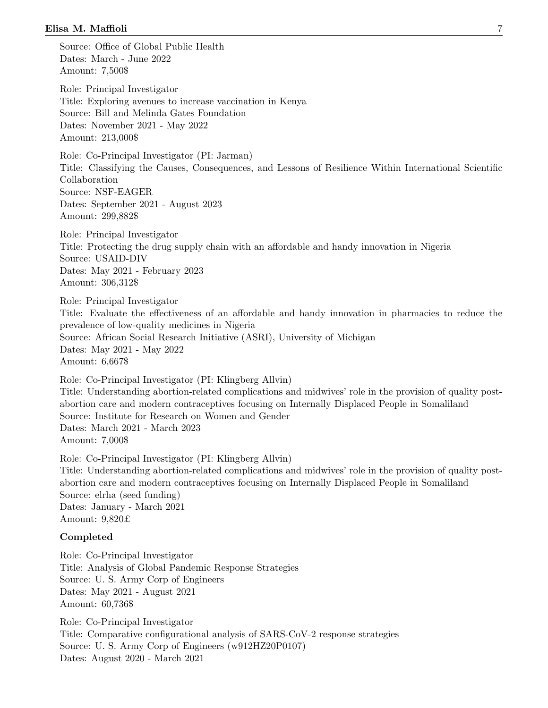Source: Office of Global Public Health Dates: March - June 2022 Amount: 7,500\$

Role: Principal Investigator Title: Exploring avenues to increase vaccination in Kenya Source: Bill and Melinda Gates Foundation Dates: November 2021 - May 2022 Amount: 213,000\$

Role: Co-Principal Investigator (PI: Jarman) Title: Classifying the Causes, Consequences, and Lessons of Resilience Within International Scientific Collaboration Source: NSF-EAGER Dates: September 2021 - August 2023 Amount: 299,882\$

Role: Principal Investigator Title: Protecting the drug supply chain with an affordable and handy innovation in Nigeria Source: USAID-DIV Dates: May 2021 - February 2023 Amount: 306,312\$

Role: Principal Investigator Title: Evaluate the effectiveness of an affordable and handy innovation in pharmacies to reduce the prevalence of low-quality medicines in Nigeria Source: African Social Research Initiative (ASRI), University of Michigan Dates: May 2021 - May 2022 Amount: 6,667\$

Role: Co-Principal Investigator (PI: Klingberg Allvin) Title: Understanding abortion-related complications and midwives' role in the provision of quality postabortion care and modern contraceptives focusing on Internally Displaced People in Somaliland Source: Institute for Research on Women and Gender Dates: March 2021 - March 2023 Amount: 7,000\$

Role: Co-Principal Investigator (PI: Klingberg Allvin) Title: Understanding abortion-related complications and midwives' role in the provision of quality postabortion care and modern contraceptives focusing on Internally Displaced People in Somaliland Source: elrha (seed funding) Dates: January - March 2021 Amount: 9,820£

#### Completed

Role: Co-Principal Investigator Title: Analysis of Global Pandemic Response Strategies Source: U. S. Army Corp of Engineers Dates: May 2021 - August 2021 Amount: 60,736\$

Role: Co-Principal Investigator Title: Comparative configurational analysis of SARS-CoV-2 response strategies Source: U. S. Army Corp of Engineers (w912HZ20P0107) Dates: August 2020 - March 2021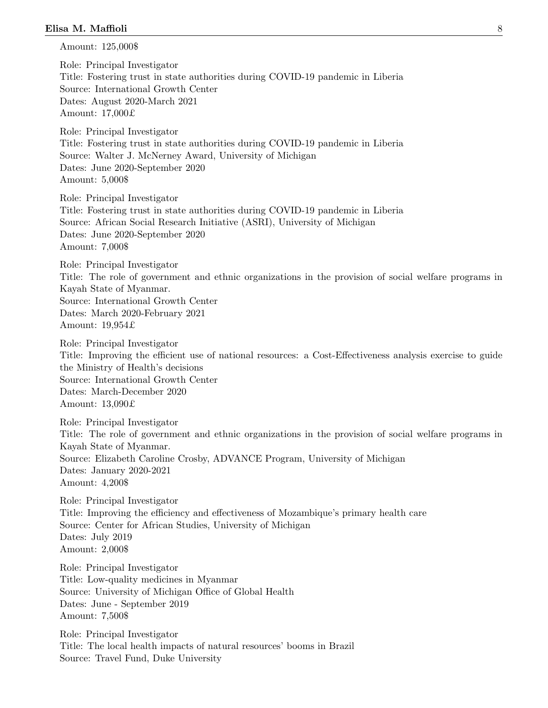Amount: 125,000\$ Role: Principal Investigator Title: Fostering trust in state authorities during COVID-19 pandemic in Liberia Source: International Growth Center Dates: August 2020-March 2021 Amount: 17,000£ Role: Principal Investigator Title: Fostering trust in state authorities during COVID-19 pandemic in Liberia Source: Walter J. McNerney Award, University of Michigan Dates: June 2020-September 2020 Amount: 5,000\$ Role: Principal Investigator Title: Fostering trust in state authorities during COVID-19 pandemic in Liberia Source: African Social Research Initiative (ASRI), University of Michigan Dates: June 2020-September 2020 Amount: 7,000\$ Role: Principal Investigator Title: The role of government and ethnic organizations in the provision of social welfare programs in Kayah State of Myanmar. Source: International Growth Center Dates: March 2020-February 2021 Amount: 19,954£ Role: Principal Investigator Title: Improving the efficient use of national resources: a Cost-Effectiveness analysis exercise to guide the Ministry of Health's decisions Source: International Growth Center Dates: March-December 2020 Amount: 13,090£ Role: Principal Investigator Title: The role of government and ethnic organizations in the provision of social welfare programs in Kayah State of Myanmar. Source: Elizabeth Caroline Crosby, ADVANCE Program, University of Michigan Dates: January 2020-2021 Amount: 4,200\$ Role: Principal Investigator Title: Improving the efficiency and effectiveness of Mozambique's primary health care Source: Center for African Studies, University of Michigan Dates: July 2019 Amount: 2,000\$ Role: Principal Investigator Title: Low-quality medicines in Myanmar Source: University of Michigan Office of Global Health Dates: June - September 2019 Amount: 7,500\$ Role: Principal Investigator

Title: The local health impacts of natural resources' booms in Brazil Source: Travel Fund, Duke University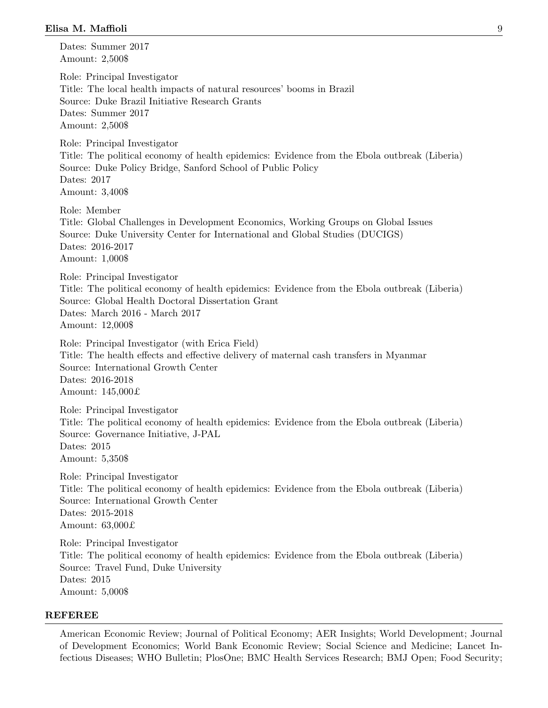Dates: Summer 2017 Amount: 2,500\$

Role: Principal Investigator Title: The local health impacts of natural resources' booms in Brazil Source: Duke Brazil Initiative Research Grants Dates: Summer 2017 Amount: 2,500\$

Role: Principal Investigator Title: The political economy of health epidemics: Evidence from the Ebola outbreak (Liberia) Source: Duke Policy Bridge, Sanford School of Public Policy Dates: 2017 Amount: 3,400\$

Role: Member Title: Global Challenges in Development Economics, Working Groups on Global Issues Source: Duke University Center for International and Global Studies (DUCIGS) Dates: 2016-2017 Amount: 1,000\$

Role: Principal Investigator Title: The political economy of health epidemics: Evidence from the Ebola outbreak (Liberia) Source: Global Health Doctoral Dissertation Grant Dates: March 2016 - March 2017 Amount: 12,000\$

Role: Principal Investigator (with Erica Field) Title: The health effects and effective delivery of maternal cash transfers in Myanmar Source: International Growth Center Dates: 2016-2018 Amount: 145,000£

Role: Principal Investigator Title: The political economy of health epidemics: Evidence from the Ebola outbreak (Liberia) Source: Governance Initiative, J-PAL Dates: 2015 Amount: 5,350\$

Role: Principal Investigator Title: The political economy of health epidemics: Evidence from the Ebola outbreak (Liberia) Source: International Growth Center Dates: 2015-2018 Amount: 63,000£

Role: Principal Investigator Title: The political economy of health epidemics: Evidence from the Ebola outbreak (Liberia) Source: Travel Fund, Duke University Dates: 2015 Amount: 5,000\$

#### REFEREE

American Economic Review; Journal of Political Economy; AER Insights; World Development; Journal of Development Economics; World Bank Economic Review; Social Science and Medicine; Lancet Infectious Diseases; WHO Bulletin; PlosOne; BMC Health Services Research; BMJ Open; Food Security;